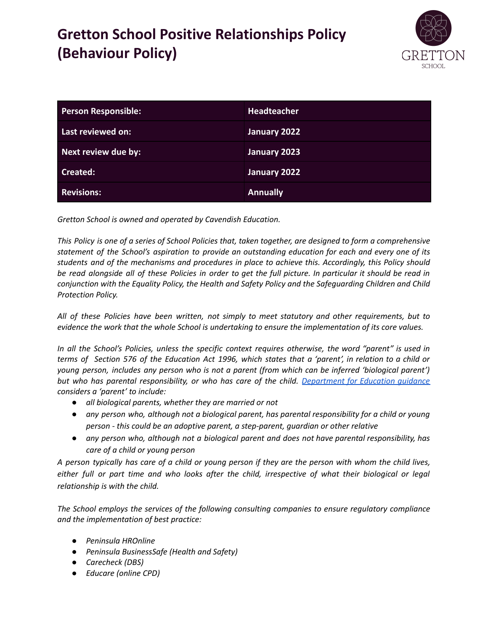# **Gretton School Positive Relationships Policy (Behaviour Policy)**



| <b>Person Responsible:</b> | <b>Headteacher</b> |
|----------------------------|--------------------|
| Last reviewed on:          | January 2022       |
| Next review due by:        | January 2023       |
| Created:                   | January 2022       |
| <b>Revisions:</b>          | <b>Annually</b>    |

*Gretton School is owned and operated by Cavendish Education.*

This Policy is one of a series of School Policies that, taken together, are designed to form a comprehensive *statement of the School's aspiration to provide an outstanding education for each and every one of its students and of the mechanisms and procedures in place to achieve this. Accordingly, this Policy should* be read alongside all of these Policies in order to get the full picture. In particular it should be read in *conjunction with the Equality Policy, the Health and Safety Policy and the Safeguarding Children and Child Protection Policy.*

*All of these Policies have been written, not simply to meet statutory and other requirements, but to evidence the work that the whole School is undertaking to ensure the implementation of its core values.*

In all the School's Policies, unless the specific context requires otherwise, the word "parent" is used in terms of Section 576 of the Education Act 1996, which states that a 'parent', in relation to a child or *young person, includes any person who is not a parent (from which can be inferred 'biological parent') but who has parental responsibility, or who has care of the child. [Department](https://www.gov.uk/government/publications/dealing-with-issues-relating-to-parental-responsibility/understanding-and-dealing-with-issues-relating-to-parental-responsibility) for Education guidance considers a 'parent' to include:*

- *● all biological parents, whether they are married or not*
- *● any person who, although not a biological parent, has parental responsibility for a child or young person - this could be an adoptive parent, a step-parent, guardian or other relative*
- *● any person who, although not a biological parent and does not have parental responsibility, has care of a child or young person*

A person typically has care of a child or young person if they are the person with whom the child lives, either full or part time and who looks after the child, irrespective of what their biological or legal *relationship is with the child.*

*The School employs the services of the following consulting companies to ensure regulatory compliance and the implementation of best practice:*

- *● Peninsula HROnline*
- *● Peninsula BusinessSafe (Health and Safety)*
- *● Carecheck (DBS)*
- *● Educare (online CPD)*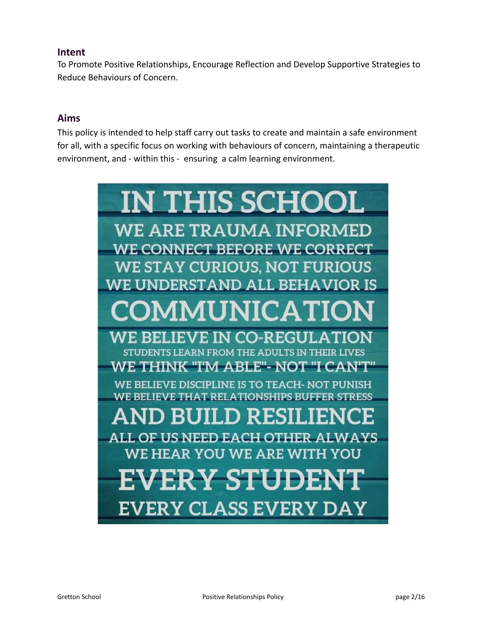### **Intent**

To Promote Positive Relationships, Encourage Reflection and Develop Supportive Strategies to Reduce Behaviours of Concern.

## **Aims**

This policy is intended to help staff carry out tasks to create and maintain a safe environment for all, with a specific focus on working with behaviours of concern, maintaining a therapeutic environment, and - within this - ensuring a calm learning environment.

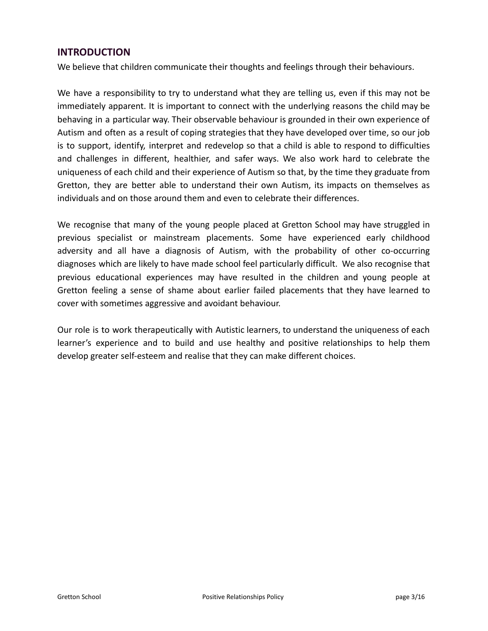#### **INTRODUCTION**

We believe that children communicate their thoughts and feelings through their behaviours.

We have a responsibility to try to understand what they are telling us, even if this may not be immediately apparent. It is important to connect with the underlying reasons the child may be behaving in a particular way. Their observable behaviour is grounded in their own experience of Autism and often as a result of coping strategies that they have developed over time, so our job is to support, identify, interpret and redevelop so that a child is able to respond to difficulties and challenges in different, healthier, and safer ways. We also work hard to celebrate the uniqueness of each child and their experience of Autism so that, by the time they graduate from Gretton, they are better able to understand their own Autism, its impacts on themselves as individuals and on those around them and even to celebrate their differences.

We recognise that many of the young people placed at Gretton School may have struggled in previous specialist or mainstream placements. Some have experienced early childhood adversity and all have a diagnosis of Autism, with the probability of other co-occurring diagnoses which are likely to have made school feel particularly difficult. We also recognise that previous educational experiences may have resulted in the children and young people at Gretton feeling a sense of shame about earlier failed placements that they have learned to cover with sometimes aggressive and avoidant behaviour.

Our role is to work therapeutically with Autistic learners, to understand the uniqueness of each learner's experience and to build and use healthy and positive relationships to help them develop greater self-esteem and realise that they can make different choices.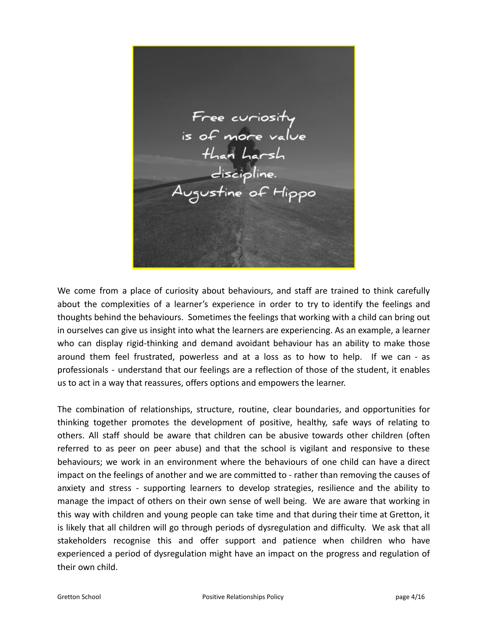Free curiosity<br>is of more value<br>than harsh<br>discipline.<br>Augustine of Hippo

We come from a place of curiosity about behaviours, and staff are trained to think carefully about the complexities of a learner's experience in order to try to identify the feelings and thoughts behind the behaviours. Sometimes the feelings that working with a child can bring out in ourselves can give us insight into what the learners are experiencing. As an example, a learner who can display rigid-thinking and demand avoidant behaviour has an ability to make those around them feel frustrated, powerless and at a loss as to how to help. If we can - as professionals - understand that our feelings are a reflection of those of the student, it enables us to act in a way that reassures, offers options and empowers the learner.

The combination of relationships, structure, routine, clear boundaries, and opportunities for thinking together promotes the development of positive, healthy, safe ways of relating to others. All staff should be aware that children can be abusive towards other children (often referred to as peer on peer abuse) and that the school is vigilant and responsive to these behaviours; we work in an environment where the behaviours of one child can have a direct impact on the feelings of another and we are committed to - rather than removing the causes of anxiety and stress - supporting learners to develop strategies, resilience and the ability to manage the impact of others on their own sense of well being. We are aware that working in this way with children and young people can take time and that during their time at Gretton, it is likely that all children will go through periods of dysregulation and difficulty. We ask that all stakeholders recognise this and offer support and patience when children who have experienced a period of dysregulation might have an impact on the progress and regulation of their own child.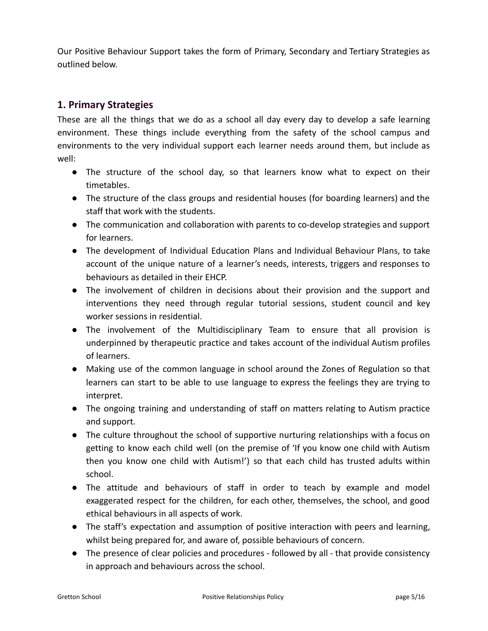Our Positive Behaviour Support takes the form of Primary, Secondary and Tertiary Strategies as outlined below.

## **1. Primary Strategies**

These are all the things that we do as a school all day every day to develop a safe learning environment. These things include everything from the safety of the school campus and environments to the very individual support each learner needs around them, but include as well:

- The structure of the school day, so that learners know what to expect on their timetables.
- The structure of the class groups and residential houses (for boarding learners) and the staff that work with the students.
- The communication and collaboration with parents to co-develop strategies and support for learners.
- The development of Individual Education Plans and Individual Behaviour Plans, to take account of the unique nature of a learner's needs, interests, triggers and responses to behaviours as detailed in their EHCP.
- The involvement of children in decisions about their provision and the support and interventions they need through regular tutorial sessions, student council and key worker sessions in residential.
- The involvement of the Multidisciplinary Team to ensure that all provision is underpinned by therapeutic practice and takes account of the individual Autism profiles of learners.
- Making use of the common language in school around the Zones of Regulation so that learners can start to be able to use language to express the feelings they are trying to interpret.
- The ongoing training and understanding of staff on matters relating to Autism practice and support.
- The culture throughout the school of supportive nurturing relationships with a focus on getting to know each child well (on the premise of 'If you know one child with Autism then you know one child with Autism!') so that each child has trusted adults within school.
- The attitude and behaviours of staff in order to teach by example and model exaggerated respect for the children, for each other, themselves, the school, and good ethical behaviours in all aspects of work.
- The staff's expectation and assumption of positive interaction with peers and learning, whilst being prepared for, and aware of, possible behaviours of concern.
- The presence of clear policies and procedures followed by all that provide consistency in approach and behaviours across the school.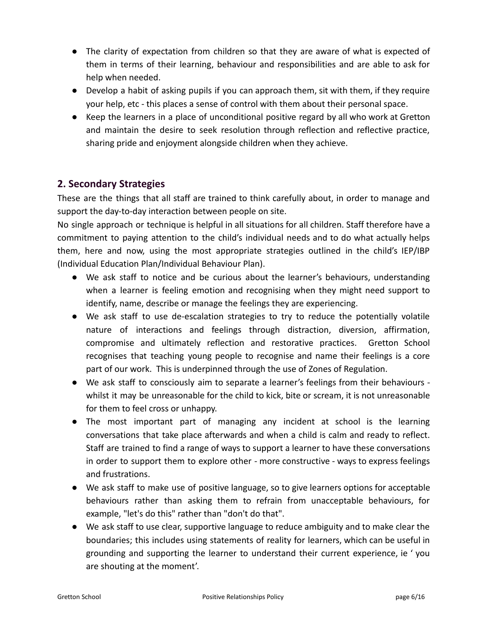- The clarity of expectation from children so that they are aware of what is expected of them in terms of their learning, behaviour and responsibilities and are able to ask for help when needed.
- Develop a habit of asking pupils if you can approach them, sit with them, if they require your help, etc - this places a sense of control with them about their personal space.
- Keep the learners in a place of unconditional positive regard by all who work at Gretton and maintain the desire to seek resolution through reflection and reflective practice, sharing pride and enjoyment alongside children when they achieve.

## **2. Secondary Strategies**

These are the things that all staff are trained to think carefully about, in order to manage and support the day-to-day interaction between people on site.

No single approach or technique is helpful in all situations for all children. Staff therefore have a commitment to paying attention to the child's individual needs and to do what actually helps them, here and now, using the most appropriate strategies outlined in the child's IEP/IBP (Individual Education Plan/Individual Behaviour Plan).

- We ask staff to notice and be curious about the learner's behaviours, understanding when a learner is feeling emotion and recognising when they might need support to identify, name, describe or manage the feelings they are experiencing.
- We ask staff to use de-escalation strategies to try to reduce the potentially volatile nature of interactions and feelings through distraction, diversion, affirmation, compromise and ultimately reflection and restorative practices. Gretton School recognises that teaching young people to recognise and name their feelings is a core part of our work. This is underpinned through the use of Zones of Regulation.
- We ask staff to consciously aim to separate a learner's feelings from their behaviours whilst it may be unreasonable for the child to kick, bite or scream, it is not unreasonable for them to feel cross or unhappy.
- The most important part of managing any incident at school is the learning conversations that take place afterwards and when a child is calm and ready to reflect. Staff are trained to find a range of ways to support a learner to have these conversations in order to support them to explore other - more constructive - ways to express feelings and frustrations.
- We ask staff to make use of positive language, so to give learners options for acceptable behaviours rather than asking them to refrain from unacceptable behaviours, for example, "let's do this" rather than "don't do that".
- We ask staff to use clear, supportive language to reduce ambiguity and to make clear the boundaries; this includes using statements of reality for learners, which can be useful in grounding and supporting the learner to understand their current experience, ie ' you are shouting at the moment'.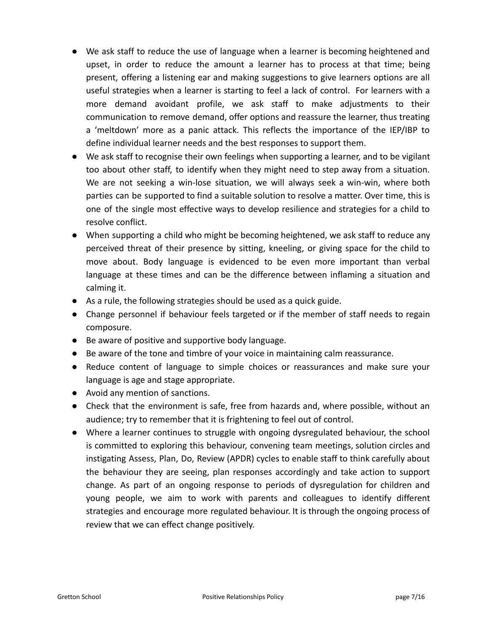- We ask staff to reduce the use of language when a learner is becoming heightened and upset, in order to reduce the amount a learner has to process at that time; being present, offering a listening ear and making suggestions to give learners options are all useful strategies when a learner is starting to feel a lack of control. For learners with a more demand avoidant profile, we ask staff to make adjustments to their communication to remove demand, offer options and reassure the learner, thus treating a 'meltdown' more as a panic attack. This reflects the importance of the IEP/IBP to define individual learner needs and the best responses to support them.
- We ask staff to recognise their own feelings when supporting a learner, and to be vigilant too about other staff, to identify when they might need to step away from a situation. We are not seeking a win-lose situation, we will always seek a win-win, where both parties can be supported to find a suitable solution to resolve a matter. Over time, this is one of the single most effective ways to develop resilience and strategies for a child to resolve conflict.
- When supporting a child who might be becoming heightened, we ask staff to reduce any perceived threat of their presence by sitting, kneeling, or giving space for the child to move about. Body language is evidenced to be even more important than verbal language at these times and can be the difference between inflaming a situation and calming it.
- As a rule, the following strategies should be used as a quick guide.
- Change personnel if behaviour feels targeted or if the member of staff needs to regain composure.
- Be aware of positive and supportive body language.
- Be aware of the tone and timbre of your voice in maintaining calm reassurance.
- Reduce content of language to simple choices or reassurances and make sure your language is age and stage appropriate.
- Avoid any mention of sanctions.
- Check that the environment is safe, free from hazards and, where possible, without an audience; try to remember that it is frightening to feel out of control.
- Where a learner continues to struggle with ongoing dysregulated behaviour, the school is committed to exploring this behaviour, convening team meetings, solution circles and instigating Assess, Plan, Do, Review (APDR) cycles to enable staff to think carefully about the behaviour they are seeing, plan responses accordingly and take action to support change. As part of an ongoing response to periods of dysregulation for children and young people, we aim to work with parents and colleagues to identify different strategies and encourage more regulated behaviour. It is through the ongoing process of review that we can effect change positively.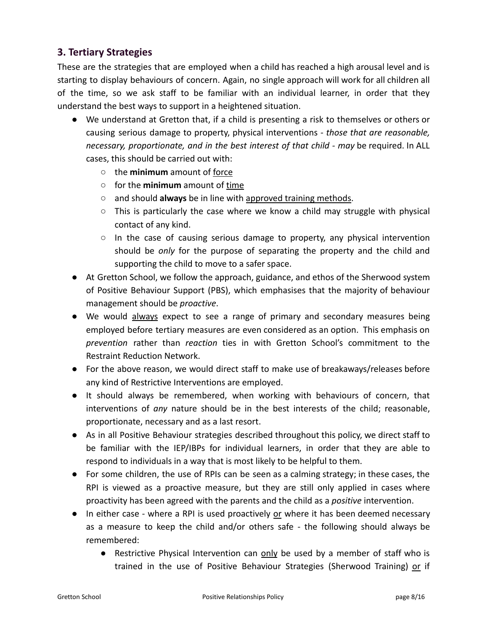## **3. Tertiary Strategies**

These are the strategies that are employed when a child has reached a high arousal level and is starting to display behaviours of concern. Again, no single approach will work for all children all of the time, so we ask staff to be familiar with an individual learner, in order that they understand the best ways to support in a heightened situation.

- We understand at Gretton that, if a child is presenting a risk to themselves or others or causing serious damage to property, physical interventions *- those that are reasonable, necessary, proportionate, and in the best interest of that child - may* be required. In ALL cases, this should be carried out with:
	- the **minimum** amount of force
	- for the **minimum** amount of time
	- and should **always** be in line with approved training methods.
	- $\circ$  This is particularly the case where we know a child may struggle with physical contact of any kind.
	- $\circ$  In the case of causing serious damage to property, any physical intervention should be *only* for the purpose of separating the property and the child and supporting the child to move to a safer space.
- At Gretton School, we follow the approach, guidance, and ethos of the Sherwood system of Positive Behaviour Support (PBS), which emphasises that the majority of behaviour management should be *proactive*.
- We would always expect to see a range of primary and secondary measures being employed before tertiary measures are even considered as an option. This emphasis on *prevention* rather than *reaction* ties in with Gretton School's commitment to the Restraint Reduction Network.
- For the above reason, we would direct staff to make use of breakaways/releases before any kind of Restrictive Interventions are employed.
- It should always be remembered, when working with behaviours of concern, that interventions of *any* nature should be in the best interests of the child; reasonable, proportionate, necessary and as a last resort.
- As in all Positive Behaviour strategies described throughout this policy, we direct staff to be familiar with the IEP/IBPs for individual learners, in order that they are able to respond to individuals in a way that is most likely to be helpful to them.
- For some children, the use of RPIs can be seen as a calming strategy; in these cases, the RPI is viewed as a proactive measure, but they are still only applied in cases where proactivity has been agreed with the parents and the child as a *positive* intervention.
- In either case where a RPI is used proactively or where it has been deemed necessary as a measure to keep the child and/or others safe - the following should always be remembered:
	- Restrictive Physical Intervention can only be used by a member of staff who is trained in the use of Positive Behaviour Strategies (Sherwood Training) or if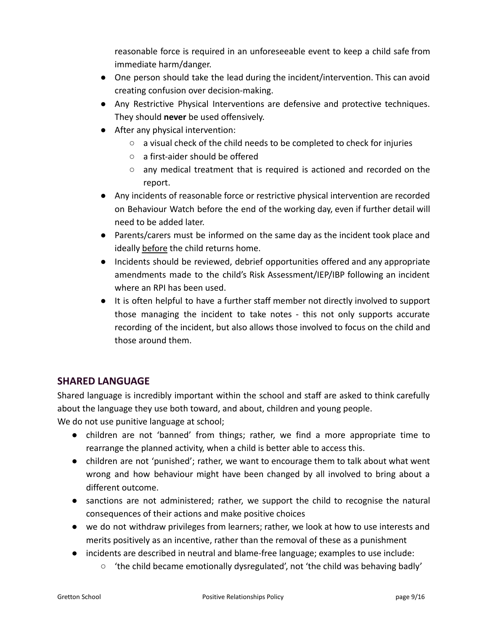reasonable force is required in an unforeseeable event to keep a child safe from immediate harm/danger.

- One person should take the lead during the incident/intervention. This can avoid creating confusion over decision-making.
- Any Restrictive Physical Interventions are defensive and protective techniques. They should **never** be used offensively.
- After any physical intervention:
	- a visual check of the child needs to be completed to check for injuries
	- a first-aider should be offered
	- any medical treatment that is required is actioned and recorded on the report.
- Any incidents of reasonable force or restrictive physical intervention are recorded on Behaviour Watch before the end of the working day, even if further detail will need to be added later.
- Parents/carers must be informed on the same day as the incident took place and ideally before the child returns home.
- Incidents should be reviewed, debrief opportunities offered and any appropriate amendments made to the child's Risk Assessment/IEP/IBP following an incident where an RPI has been used.
- It is often helpful to have a further staff member not directly involved to support those managing the incident to take notes - this not only supports accurate recording of the incident, but also allows those involved to focus on the child and those around them.

## **SHARED LANGUAGE**

Shared language is incredibly important within the school and staff are asked to think carefully about the language they use both toward, and about, children and young people.

We do not use punitive language at school;

- children are not 'banned' from things; rather, we find a more appropriate time to rearrange the planned activity, when a child is better able to access this.
- children are not 'punished'; rather, we want to encourage them to talk about what went wrong and how behaviour might have been changed by all involved to bring about a different outcome.
- sanctions are not administered; rather, we support the child to recognise the natural consequences of their actions and make positive choices
- we do not withdraw privileges from learners; rather, we look at how to use interests and merits positively as an incentive, rather than the removal of these as a punishment
- incidents are described in neutral and blame-free language; examples to use include:
	- 'the child became emotionally dysregulated', not 'the child was behaving badly'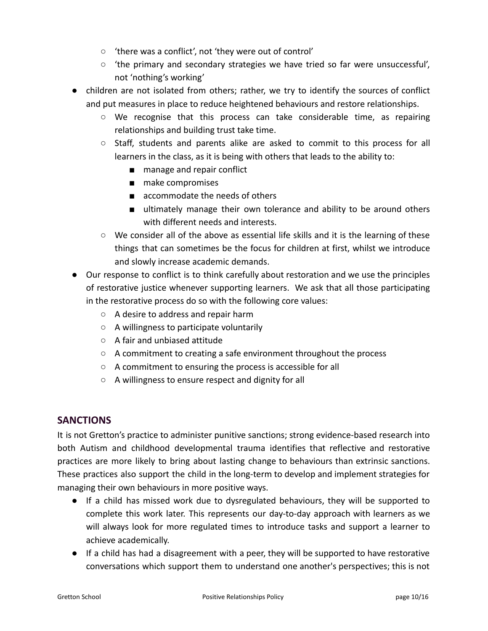- 'there was a conflict', not 'they were out of control'
- $\circ$  'the primary and secondary strategies we have tried so far were unsuccessful', not 'nothing's working'
- children are not isolated from others; rather, we try to identify the sources of conflict and put measures in place to reduce heightened behaviours and restore relationships.
	- We recognise that this process can take considerable time, as repairing relationships and building trust take time.
	- Staff, students and parents alike are asked to commit to this process for all learners in the class, as it is being with others that leads to the ability to:
		- manage and repair conflict
		- make compromises
		- accommodate the needs of others
		- ultimately manage their own tolerance and ability to be around others with different needs and interests.
	- $\circ$  We consider all of the above as essential life skills and it is the learning of these things that can sometimes be the focus for children at first, whilst we introduce and slowly increase academic demands.
- Our response to conflict is to think carefully about restoration and we use the principles of restorative justice whenever supporting learners. We ask that all those participating in the restorative process do so with the following core values:
	- A desire to address and repair harm
	- A willingness to participate voluntarily
	- A fair and unbiased attitude
	- A commitment to creating a safe environment throughout the process
	- A commitment to ensuring the process is accessible for all
	- A willingness to ensure respect and dignity for all

#### **SANCTIONS**

It is not Gretton's practice to administer punitive sanctions; strong evidence-based research into both Autism and childhood developmental trauma identifies that reflective and restorative practices are more likely to bring about lasting change to behaviours than extrinsic sanctions. These practices also support the child in the long-term to develop and implement strategies for managing their own behaviours in more positive ways.

- If a child has missed work due to dysregulated behaviours, they will be supported to complete this work later. This represents our day-to-day approach with learners as we will always look for more regulated times to introduce tasks and support a learner to achieve academically.
- If a child has had a disagreement with a peer, they will be supported to have restorative conversations which support them to understand one another's perspectives; this is not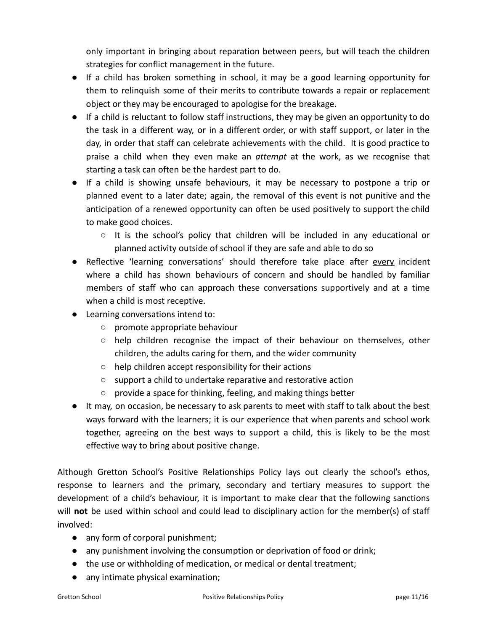only important in bringing about reparation between peers, but will teach the children strategies for conflict management in the future.

- If a child has broken something in school, it may be a good learning opportunity for them to relinquish some of their merits to contribute towards a repair or replacement object or they may be encouraged to apologise for the breakage.
- If a child is reluctant to follow staff instructions, they may be given an opportunity to do the task in a different way, or in a different order, or with staff support, or later in the day, in order that staff can celebrate achievements with the child. It is good practice to praise a child when they even make an *attempt* at the work, as we recognise that starting a task can often be the hardest part to do.
- If a child is showing unsafe behaviours, it may be necessary to postpone a trip or planned event to a later date; again, the removal of this event is not punitive and the anticipation of a renewed opportunity can often be used positively to support the child to make good choices.
	- $\circ$  It is the school's policy that children will be included in any educational or planned activity outside of school if they are safe and able to do so
- Reflective 'learning conversations' should therefore take place after every incident where a child has shown behaviours of concern and should be handled by familiar members of staff who can approach these conversations supportively and at a time when a child is most receptive.
- Learning conversations intend to:
	- promote appropriate behaviour
	- $\circ$  help children recognise the impact of their behaviour on themselves, other children, the adults caring for them, and the wider community
	- help children accept responsibility for their actions
	- support a child to undertake reparative and restorative action
	- provide a space for thinking, feeling, and making things better
- It may, on occasion, be necessary to ask parents to meet with staff to talk about the best ways forward with the learners; it is our experience that when parents and school work together, agreeing on the best ways to support a child, this is likely to be the most effective way to bring about positive change.

Although Gretton School's Positive Relationships Policy lays out clearly the school's ethos, response to learners and the primary, secondary and tertiary measures to support the development of a child's behaviour, it is important to make clear that the following sanctions will **not** be used within school and could lead to disciplinary action for the member(s) of staff involved:

- any form of corporal punishment;
- any punishment involving the consumption or deprivation of food or drink;
- the use or withholding of medication, or medical or dental treatment;
- any intimate physical examination;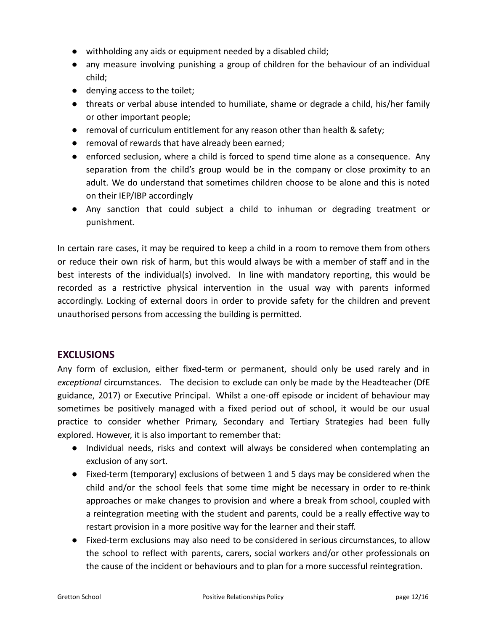- withholding any aids or equipment needed by a disabled child;
- any measure involving punishing a group of children for the behaviour of an individual child;
- denying access to the toilet;
- threats or verbal abuse intended to humiliate, shame or degrade a child, his/her family or other important people;
- removal of curriculum entitlement for any reason other than health & safety;
- removal of rewards that have already been earned;
- enforced seclusion, where a child is forced to spend time alone as a consequence. Any separation from the child's group would be in the company or close proximity to an adult. We do understand that sometimes children choose to be alone and this is noted on their IEP/IBP accordingly
- Any sanction that could subject a child to inhuman or degrading treatment or punishment.

In certain rare cases, it may be required to keep a child in a room to remove them from others or reduce their own risk of harm, but this would always be with a member of staff and in the best interests of the individual(s) involved. In line with mandatory reporting, this would be recorded as a restrictive physical intervention in the usual way with parents informed accordingly. Locking of external doors in order to provide safety for the children and prevent unauthorised persons from accessing the building is permitted.

#### **EXCLUSIONS**

Any form of exclusion, either fixed-term or permanent, should only be used rarely and in *exceptional* circumstances. The decision to exclude can only be made by the Headteacher (DfE guidance, 2017) or Executive Principal. Whilst a one-off episode or incident of behaviour may sometimes be positively managed with a fixed period out of school, it would be our usual practice to consider whether Primary, Secondary and Tertiary Strategies had been fully explored. However, it is also important to remember that:

- Individual needs, risks and context will always be considered when contemplating an exclusion of any sort.
- Fixed-term (temporary) exclusions of between 1 and 5 days may be considered when the child and/or the school feels that some time might be necessary in order to re-think approaches or make changes to provision and where a break from school, coupled with a reintegration meeting with the student and parents, could be a really effective way to restart provision in a more positive way for the learner and their staff.
- Fixed-term exclusions may also need to be considered in serious circumstances, to allow the school to reflect with parents, carers, social workers and/or other professionals on the cause of the incident or behaviours and to plan for a more successful reintegration.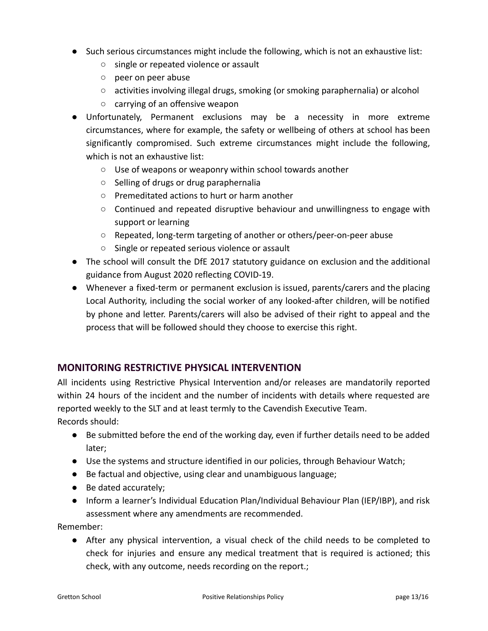- Such serious circumstances might include the following, which is not an exhaustive list:
	- single or repeated violence or assault
	- peer on peer abuse
	- activities involving illegal drugs, smoking (or smoking paraphernalia) or alcohol
	- carrying of an offensive weapon
- Unfortunately, Permanent exclusions may be a necessity in more extreme circumstances, where for example, the safety or wellbeing of others at school has been significantly compromised. Such extreme circumstances might include the following, which is not an exhaustive list:
	- Use of weapons or weaponry within school towards another
	- Selling of drugs or drug paraphernalia
	- Premeditated actions to hurt or harm another
	- Continued and repeated disruptive behaviour and unwillingness to engage with support or learning
	- Repeated, long-term targeting of another or others/peer-on-peer abuse
	- Single or repeated serious violence or assault
- The school will consult the DfE 2017 statutory guidance on exclusion and the additional guidance from August 2020 reflecting COVID-19.
- Whenever a fixed-term or permanent exclusion is issued, parents/carers and the placing Local Authority, including the social worker of any looked-after children, will be notified by phone and letter. Parents/carers will also be advised of their right to appeal and the process that will be followed should they choose to exercise this right.

#### **MONITORING RESTRICTIVE PHYSICAL INTERVENTION**

All incidents using Restrictive Physical Intervention and/or releases are mandatorily reported within 24 hours of the incident and the number of incidents with details where requested are reported weekly to the SLT and at least termly to the Cavendish Executive Team. Records should:

● Be submitted before the end of the working day, even if further details need to be added later;

- Use the systems and structure identified in our policies, through Behaviour Watch;
- Be factual and objective, using clear and unambiguous language;
- Be dated accurately;
- Inform a learner's Individual Education Plan/Individual Behaviour Plan (IEP/IBP), and risk assessment where any amendments are recommended.

Remember:

● After any physical intervention, a visual check of the child needs to be completed to check for injuries and ensure any medical treatment that is required is actioned; this check, with any outcome, needs recording on the report.;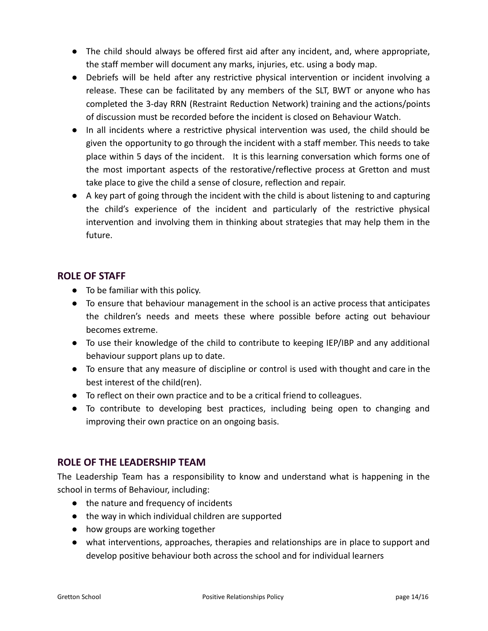- The child should always be offered first aid after any incident, and, where appropriate, the staff member will document any marks, injuries, etc. using a body map.
- Debriefs will be held after any restrictive physical intervention or incident involving a release. These can be facilitated by any members of the SLT, BWT or anyone who has completed the 3-day RRN (Restraint Reduction Network) training and the actions/points of discussion must be recorded before the incident is closed on Behaviour Watch.
- In all incidents where a restrictive physical intervention was used, the child should be given the opportunity to go through the incident with a staff member. This needs to take place within 5 days of the incident. It is this learning conversation which forms one of the most important aspects of the restorative/reflective process at Gretton and must take place to give the child a sense of closure, reflection and repair.
- A key part of going through the incident with the child is about listening to and capturing the child's experience of the incident and particularly of the restrictive physical intervention and involving them in thinking about strategies that may help them in the future.

### **ROLE OF STAFF**

- To be familiar with this policy.
- To ensure that behaviour management in the school is an active process that anticipates the children's needs and meets these where possible before acting out behaviour becomes extreme.
- To use their knowledge of the child to contribute to keeping IEP/IBP and any additional behaviour support plans up to date.
- To ensure that any measure of discipline or control is used with thought and care in the best interest of the child(ren).
- To reflect on their own practice and to be a critical friend to colleagues.
- To contribute to developing best practices, including being open to changing and improving their own practice on an ongoing basis.

#### **ROLE OF THE LEADERSHIP TEAM**

The Leadership Team has a responsibility to know and understand what is happening in the school in terms of Behaviour, including:

- the nature and frequency of incidents
- the way in which individual children are supported
- how groups are working together
- what interventions, approaches, therapies and relationships are in place to support and develop positive behaviour both across the school and for individual learners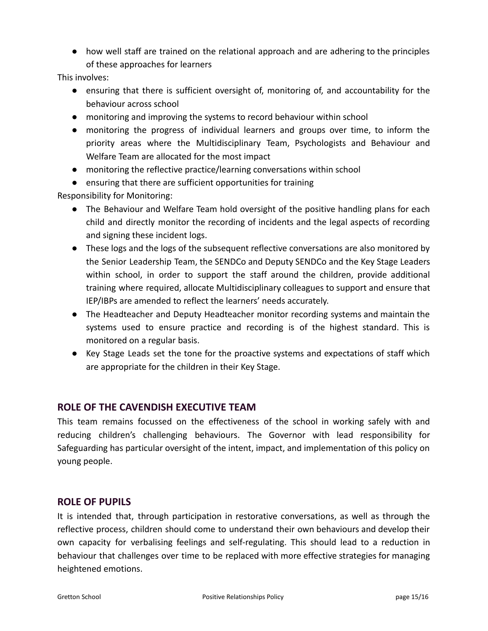● how well staff are trained on the relational approach and are adhering to the principles of these approaches for learners

This involves:

- ensuring that there is sufficient oversight of, monitoring of, and accountability for the behaviour across school
- monitoring and improving the systems to record behaviour within school
- monitoring the progress of individual learners and groups over time, to inform the priority areas where the Multidisciplinary Team, Psychologists and Behaviour and Welfare Team are allocated for the most impact
- monitoring the reflective practice/learning conversations within school
- ensuring that there are sufficient opportunities for training

Responsibility for Monitoring:

- The Behaviour and Welfare Team hold oversight of the positive handling plans for each child and directly monitor the recording of incidents and the legal aspects of recording and signing these incident logs.
- These logs and the logs of the subsequent reflective conversations are also monitored by the Senior Leadership Team, the SENDCo and Deputy SENDCo and the Key Stage Leaders within school, in order to support the staff around the children, provide additional training where required, allocate Multidisciplinary colleagues to support and ensure that IEP/IBPs are amended to reflect the learners' needs accurately.
- The Headteacher and Deputy Headteacher monitor recording systems and maintain the systems used to ensure practice and recording is of the highest standard. This is monitored on a regular basis.
- Key Stage Leads set the tone for the proactive systems and expectations of staff which are appropriate for the children in their Key Stage.

#### **ROLE OF THE CAVENDISH EXECUTIVE TEAM**

This team remains focussed on the effectiveness of the school in working safely with and reducing children's challenging behaviours. The Governor with lead responsibility for Safeguarding has particular oversight of the intent, impact, and implementation of this policy on young people.

#### **ROLE OF PUPILS**

It is intended that, through participation in restorative conversations, as well as through the reflective process, children should come to understand their own behaviours and develop their own capacity for verbalising feelings and self-regulating. This should lead to a reduction in behaviour that challenges over time to be replaced with more effective strategies for managing heightened emotions.